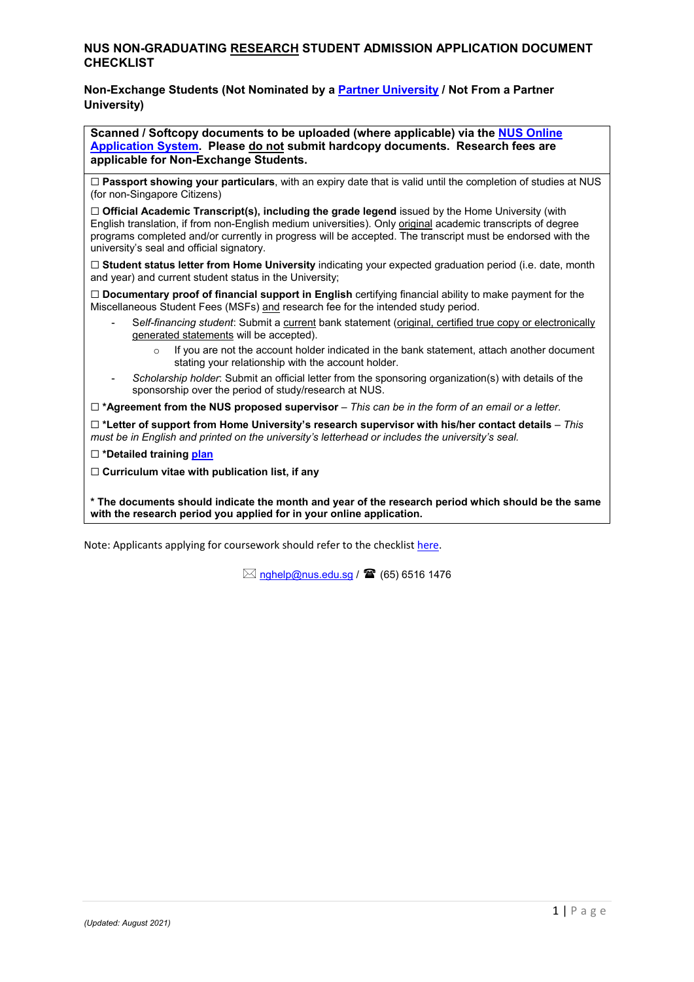## **NUS NON-GRADUATING RESEARCH STUDENT ADMISSION APPLICATION DOCUMENT CHECKLIST**

## **Non-Exchange Students (Not Nominated by a [Partner University](http://www.nus.edu.sg/gro/global-programmes/student-exchange/partner-universities) / Not From a Partner University)**

**Scanned / Softcopy documents to be uploaded (where applicable) via the [NUS Online](https://myapplications.nus.edu.sg/)  [Application](https://myapplications.nus.edu.sg/) System. Please do not submit hardcopy documents. Research fees are applicable for Non-Exchange Students.**

☐ **Passport showing your particulars**, with an expiry date that is valid until the completion of studies at NUS (for non-Singapore Citizens)

☐ **Official Academic Transcript(s), including the grade legend** issued by the Home University (with English translation, if from non-English medium universities). Only original academic transcripts of degree programs completed and/or currently in progress will be accepted. The transcript must be endorsed with the university's seal and official signatory.

☐ **Student status letter from Home University** indicating your expected graduation period (i.e. date, month and year) and current student status in the University;

☐ **Documentary proof of financial support in English** certifying financial ability to make payment for the Miscellaneous Student Fees (MSFs) and research fee for the intended study period.

- S*elf-financing student*: Submit a current bank statement (original, certified true copy or electronically generated statements will be accepted).
	- If you are not the account holder indicated in the bank statement, attach another document stating your relationship with the account holder.
- *Scholarship holder*: Submit an official letter from the sponsoring organization(s) with details of the sponsorship over the period of study/research at NUS.

☐ **\*Agreement from the NUS proposed supervisor** – *This can be in the form of an email or a letter.* 

☐ **\*Letter of support from Home University's research supervisor with his/her contact details** *– This must be in English and printed on the university's letterhead or includes the university's seal.*

☐ **\*Detailed training [plan](http://www.nus.edu.sg/registrar/docs/info/prospective-students---non-graduating/NG-Training-Plan.pdf)**

☐ **Curriculum vitae with publication list, if any**

**\* The documents should indicate the month and year of the research period which should be the same with the research period you applied for in your online application.**

Note: Applicants applying for coursework should refer to the checklist [here.](https://nus.edu.sg/registrar/docs/info/prospective-students---non-graduating/NG-Cwk-Checklist.pdf)

 $\boxtimes$  [nghelp@nus.edu.sg](mailto:nghelp@nus.edu.sg) /  $\blacksquare$  (65) 6516 1476